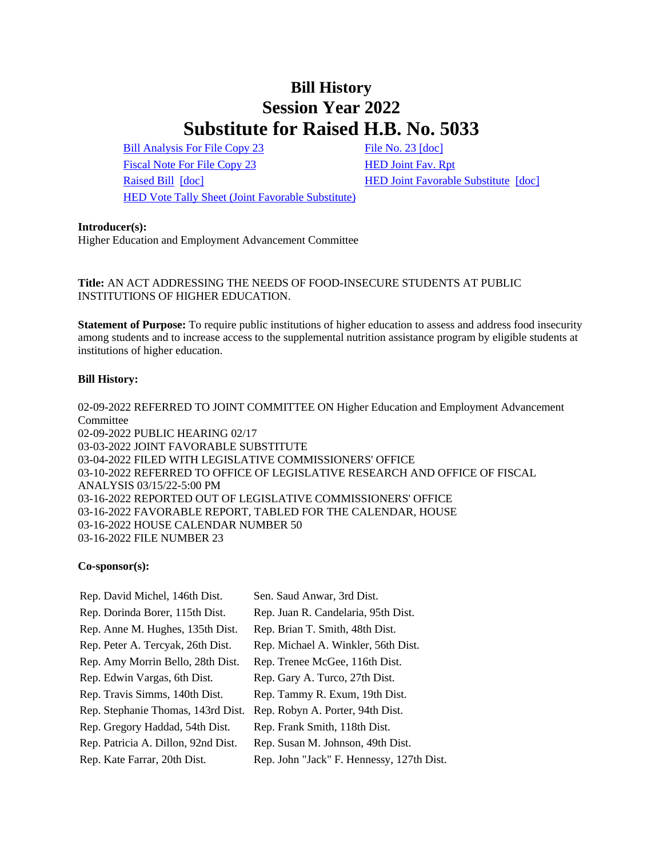# **Bill History Session Year 2022 Substitute for Raised H.B. No. 5033**

[Bill Analysis For File Copy 23](/2022/BA/PDF/2022HB-05033-R000023-BA.PDF) [File No. 23](/2022/FC/PDF/2022HB-05033-R000023-FC.PDF) [\[doc\]](https://search.cga.state.ct.us/dl2022/fc/doc/2022HB-05033-R000023-FC.docx) [Fiscal Note For File Copy 23](/2022/FN/PDF/2022HB-05033-R000023-FN.PDF) [HED Joint Fav. Rpt](/2022/JFR/H/PDF/2022HB-05033-R00HED-JFR.PDF) [Raised Bill](/2022/TOB/H/PDF/2022HB-05033-R00-HB.PDF) [\[doc\]](https://search.cga.state.ct.us/dl2022/TOB/DOC/2022HB-05033-R00-HB.DOCX) [HED Joint Favorable Substitute](/2022/TOB/H/PDF/2022HB-05033-R01-HB.PDF) [\[doc\]](https://search.cga.state.ct.us/dl2022/TOB/DOC/2022HB-05033-R01-HB.DOCX) [HED Vote Tally Sheet \(Joint Favorable Substitute\)](/2022/TS/H/PDF/2022HB-05033-R00HED-CV39-TS.PDF)

### **Introducer(s):**

Higher Education and Employment Advancement Committee

## **Title:** AN ACT ADDRESSING THE NEEDS OF FOOD-INSECURE STUDENTS AT PUBLIC INSTITUTIONS OF HIGHER EDUCATION.

**Statement of Purpose:** To require public institutions of higher education to assess and address food insecurity among students and to increase access to the supplemental nutrition assistance program by eligible students at institutions of higher education.

## **Bill History:**

02-09-2022 REFERRED TO JOINT COMMITTEE ON Higher Education and Employment Advancement **Committee** 02-09-2022 PUBLIC HEARING 02/17 03-03-2022 JOINT FAVORABLE SUBSTITUTE 03-04-2022 FILED WITH LEGISLATIVE COMMISSIONERS' OFFICE 03-10-2022 REFERRED TO OFFICE OF LEGISLATIVE RESEARCH AND OFFICE OF FISCAL ANALYSIS 03/15/22-5:00 PM 03-16-2022 REPORTED OUT OF LEGISLATIVE COMMISSIONERS' OFFICE 03-16-2022 FAVORABLE REPORT, TABLED FOR THE CALENDAR, HOUSE 03-16-2022 HOUSE CALENDAR NUMBER 50 03-16-2022 FILE NUMBER 23

## **Co-sponsor(s):**

| Rep. David Michel, 146th Dist.      | Sen. Saud Anwar, 3rd Dist.                |
|-------------------------------------|-------------------------------------------|
| Rep. Dorinda Borer, 115th Dist.     | Rep. Juan R. Candelaria, 95th Dist.       |
| Rep. Anne M. Hughes, 135th Dist.    | Rep. Brian T. Smith, 48th Dist.           |
| Rep. Peter A. Tercyak, 26th Dist.   | Rep. Michael A. Winkler, 56th Dist.       |
| Rep. Amy Morrin Bello, 28th Dist.   | Rep. Trenee McGee, 116th Dist.            |
| Rep. Edwin Vargas, 6th Dist.        | Rep. Gary A. Turco, 27th Dist.            |
| Rep. Travis Simms, 140th Dist.      | Rep. Tammy R. Exum, 19th Dist.            |
| Rep. Stephanie Thomas, 143rd Dist.  | Rep. Robyn A. Porter, 94th Dist.          |
| Rep. Gregory Haddad, 54th Dist.     | Rep. Frank Smith, 118th Dist.             |
| Rep. Patricia A. Dillon, 92nd Dist. | Rep. Susan M. Johnson, 49th Dist.         |
| Rep. Kate Farrar, 20th Dist.        | Rep. John "Jack" F. Hennessy, 127th Dist. |
|                                     |                                           |